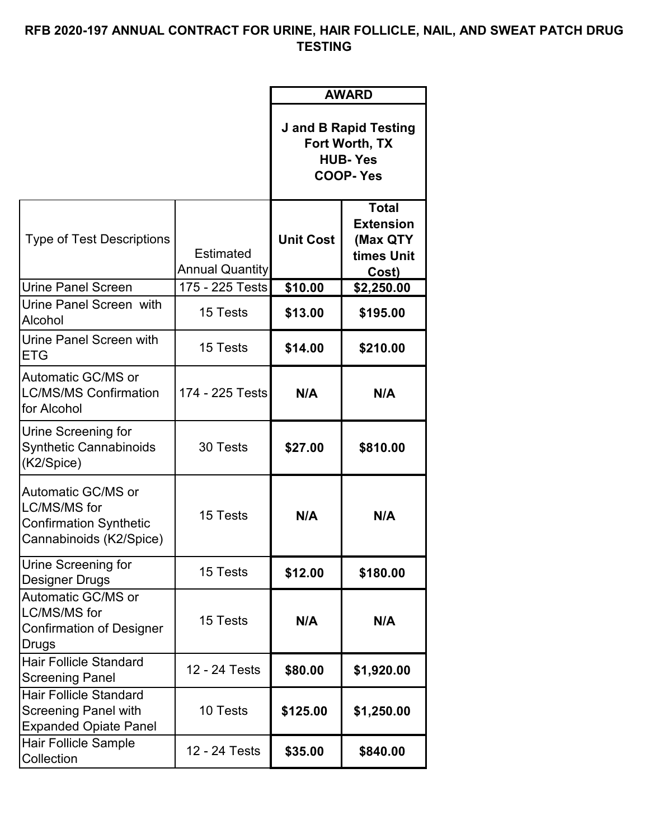## **RFB 2020-197 ANNUAL CONTRACT FOR URINE, HAIR FOLLICLE, NAIL, AND SWEAT PATCH DRUG TESTING**

|                                                                                                |                                     | <b>AWARD</b><br><b>J</b> and <b>B</b> Rapid Testing<br>Fort Worth, TX<br><b>HUB-Yes</b><br><b>COOP-Yes</b> |                                                                      |
|------------------------------------------------------------------------------------------------|-------------------------------------|------------------------------------------------------------------------------------------------------------|----------------------------------------------------------------------|
|                                                                                                |                                     |                                                                                                            |                                                                      |
| <b>Type of Test Descriptions</b>                                                               | Estimated<br><b>Annual Quantity</b> | <b>Unit Cost</b>                                                                                           | <b>Total</b><br><b>Extension</b><br>(Max QTY)<br>times Unit<br>Cost) |
| <b>Urine Panel Screen</b>                                                                      | 175 - 225 Tests                     | \$10.00                                                                                                    | \$2,250.00                                                           |
| Urine Panel Screen with<br>Alcohol                                                             | 15 Tests                            | \$13.00                                                                                                    | \$195.00                                                             |
| Urine Panel Screen with<br>ETG                                                                 | 15 Tests                            | \$14.00                                                                                                    | \$210.00                                                             |
| Automatic GC/MS or<br><b>LC/MS/MS Confirmation</b><br>for Alcohol                              | 174 - 225 Tests                     | N/A                                                                                                        | N/A                                                                  |
| Urine Screening for<br><b>Synthetic Cannabinoids</b><br>(K2/Spice)                             | 30 Tests                            | \$27.00                                                                                                    | \$810.00                                                             |
| <b>Automatic GC/MS or</b><br>LC/MS/MS for<br>Confirmation Synthetic<br>Cannabinoids (K2/Spice) | 15 Tests                            | N/A                                                                                                        | N/A                                                                  |
| Urine Screening for<br>Designer Drugs                                                          | 15 Tests                            | \$12.00                                                                                                    | \$180.00                                                             |
| Automatic GC/MS or<br>LC/MS/MS for<br><b>Confirmation of Designer</b><br>Drugs                 | 15 Tests                            | N/A                                                                                                        | N/A                                                                  |
| Hair Follicle Standard<br>Screening Panel                                                      | 12 - 24 Tests                       | \$80.00                                                                                                    | \$1,920.00                                                           |
| Hair Follicle Standard<br>Screening Panel with<br><b>Expanded Opiate Panel</b>                 | 10 Tests                            | \$125.00                                                                                                   | \$1,250.00                                                           |
| Hair Follicle Sample<br>Collection                                                             | 12 - 24 Tests                       | \$35.00                                                                                                    | \$840.00                                                             |